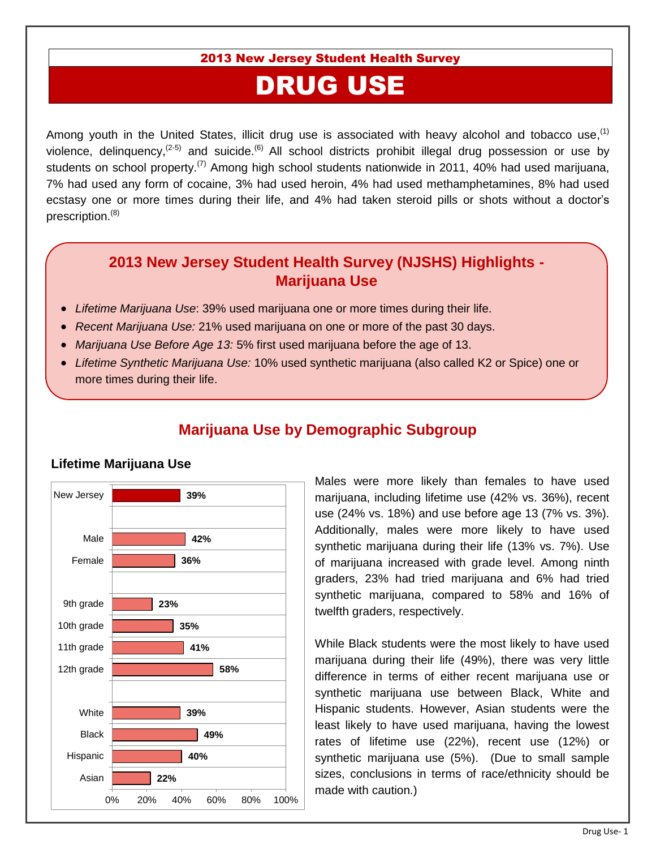2013 New Jersey Student Health Survey

# DRUG USE

Among youth in the United States, illicit drug use is associated with heavy alcohol and tobacco use,  $(1)$ violence, delinquency,  $(2-5)$  and suicide.  $(6)$  All school districts prohibit illegal drug possession or use by students on school property.<sup>(7)</sup> Among high school students nationwide in 2011, 40% had used marijuana, 7% had used any form of cocaine, 3% had used heroin, 4% had used methamphetamines, 8% had used ecstasy one or more times during their life, and 4% had taken steroid pills or shots without a doctor's prescription.<sup>(8)</sup>

#### **2013 New Jersey Student Health Survey (NJSHS) Highlights - Marijuana Use**

- *Lifetime Marijuana Use*: 39% used marijuana one or more times during their life.
- *Recent Marijuana Use:* 21% used marijuana on one or more of the past 30 days.
- *Marijuana Use Before Age 13:* 5% first used marijuana before the age of 13.
- *Lifetime Synthetic Marijuana Use:* 10% used synthetic marijuana (also called K2 or Spice) one or more times during their life.



## **Marijuana Use by Demographic Subgroup**

Males were more likely than females to have used marijuana, including lifetime use (42% vs. 36%), recent use (24% vs. 18%) and use before age 13 (7% vs. 3%). Additionally, males were more likely to have used synthetic marijuana during their life (13% vs. 7%). Use of marijuana increased with grade level. Among ninth graders, 23% had tried marijuana and 6% had tried synthetic marijuana, compared to 58% and 16% of twelfth graders, respectively.

While Black students were the most likely to have used marijuana during their life (49%), there was very little difference in terms of either recent marijuana use or synthetic marijuana use between Black, White and Hispanic students. However, Asian students were the least likely to have used marijuana, having the lowest rates of lifetime use (22%), recent use (12%) or synthetic marijuana use (5%). (Due to small sample sizes, conclusions in terms of race/ethnicity should be made with caution.)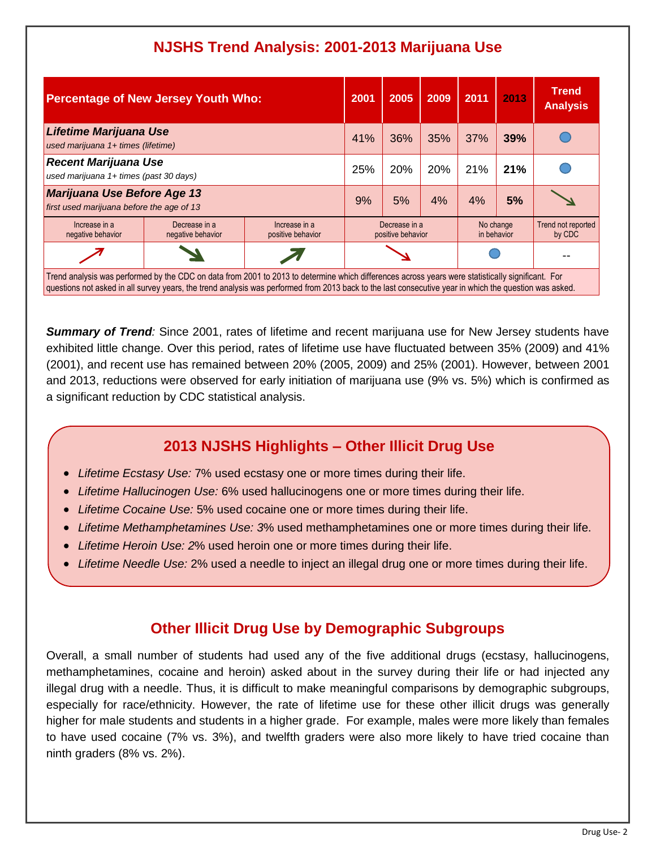## **NJSHS Trend Analysis: 2001-2013 Marijuana Use**

| <b>Percentage of New Jersey Youth Who:</b>                                                                                                                                                                                                                                                                  |                                    |                                    | 2001                               | 2005 | 2009 | 2011                     | 2013 | <b>Trend</b><br><b>Analysis</b> |
|-------------------------------------------------------------------------------------------------------------------------------------------------------------------------------------------------------------------------------------------------------------------------------------------------------------|------------------------------------|------------------------------------|------------------------------------|------|------|--------------------------|------|---------------------------------|
| <b>Lifetime Marijuana Use</b><br>used marijuana 1+ times (lifetime)                                                                                                                                                                                                                                         |                                    |                                    | 41%                                | 36%  | 35%  | 37%                      | 39%  |                                 |
| <b>Recent Marijuana Use</b><br>used marijuana 1+ times (past 30 days)                                                                                                                                                                                                                                       |                                    |                                    | 25%                                | 20%  | 20%  | 21%                      | 21%  |                                 |
| <b>Marijuana Use Before Age 13</b><br>first used marijuana before the age of 13                                                                                                                                                                                                                             |                                    |                                    | 9%                                 | 5%   | 4%   | 4%                       | 5%   |                                 |
| Increase in a<br>negative behavior                                                                                                                                                                                                                                                                          | Decrease in a<br>negative behavior | Increase in a<br>positive behavior | Decrease in a<br>positive behavior |      |      | No change<br>in behavior |      | Trend not reported<br>by CDC    |
|                                                                                                                                                                                                                                                                                                             |                                    |                                    |                                    |      |      |                          |      |                                 |
| Trend analysis was performed by the CDC on data from 2001 to 2013 to determine which differences across years were statistically significant. For<br>questions not asked in all survey years, the trend analysis was performed from 2013 back to the last consecutive year in which the question was asked. |                                    |                                    |                                    |      |      |                          |      |                                 |

**Summary of Trend**: Since 2001, rates of lifetime and recent marijuana use for New Jersey students have exhibited little change. Over this period, rates of lifetime use have fluctuated between 35% (2009) and 41% (2001), and recent use has remained between 20% (2005, 2009) and 25% (2001). However, between 2001 and 2013, reductions were observed for early initiation of marijuana use (9% vs. 5%) which is confirmed as a significant reduction by CDC statistical analysis.

## **2013 NJSHS Highlights – Other Illicit Drug Use**

- *Lifetime Ecstasy Use:* 7% used ecstasy one or more times during their life.
- *Lifetime Hallucinogen Use:* 6% used hallucinogens one or more times during their life.
- *Lifetime Cocaine Use:* 5% used cocaine one or more times during their life.
- *Lifetime Methamphetamines Use: 3*% used methamphetamines one or more times during their life.
- *Lifetime Heroin Use: 2*% used heroin one or more times during their life.
- *Lifetime Needle Use:* 2% used a needle to inject an illegal drug one or more times during their life.

### **Other Illicit Drug Use by Demographic Subgroups**

Overall, a small number of students had used any of the five additional drugs (ecstasy, hallucinogens, methamphetamines, cocaine and heroin) asked about in the survey during their life or had injected any illegal drug with a needle. Thus, it is difficult to make meaningful comparisons by demographic subgroups, especially for race/ethnicity. However, the rate of lifetime use for these other illicit drugs was generally higher for male students and students in a higher grade. For example, males were more likely than females to have used cocaine (7% vs. 3%), and twelfth graders were also more likely to have tried cocaine than ninth graders (8% vs. 2%).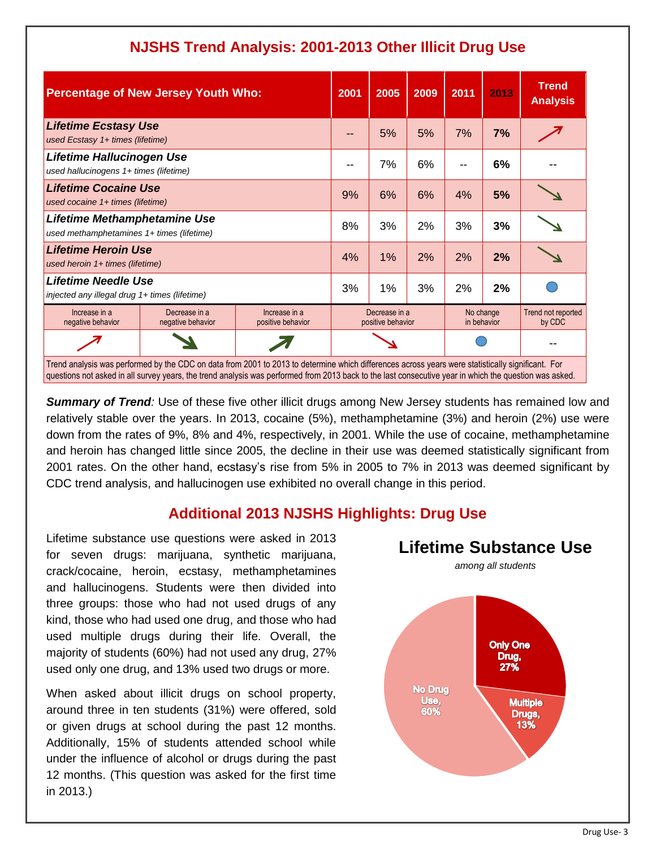| <b>Percentage of New Jersey Youth Who:</b>                                                                                                                                                                                                                                                                  |                                    |                                    | 2001                               | 2005 | 2009                     | 2011 | 2013                         | <b>Trend</b><br><b>Analysis</b> |
|-------------------------------------------------------------------------------------------------------------------------------------------------------------------------------------------------------------------------------------------------------------------------------------------------------------|------------------------------------|------------------------------------|------------------------------------|------|--------------------------|------|------------------------------|---------------------------------|
| <b>Lifetime Ecstasy Use</b><br>used Ecstasy 1+ times (lifetime)                                                                                                                                                                                                                                             |                                    |                                    |                                    | 5%   | 5%                       | 7%   | 7%                           |                                 |
| Lifetime Hallucinogen Use<br>used hallucinogens 1+ times (lifetime)                                                                                                                                                                                                                                         |                                    |                                    |                                    | 7%   | 6%                       |      | 6%                           |                                 |
| <b>Lifetime Cocaine Use</b><br>used cocaine 1+ times (lifetime)                                                                                                                                                                                                                                             |                                    |                                    | 9%                                 | 6%   | 6%                       | 4%   | 5%                           |                                 |
| Lifetime Methamphetamine Use<br>used methamphetamines 1+ times (lifetime)                                                                                                                                                                                                                                   |                                    |                                    | 8%                                 | 3%   | 2%                       | 3%   | 3%                           |                                 |
| <b>Lifetime Heroin Use</b><br>used heroin 1+ times (lifetime)                                                                                                                                                                                                                                               |                                    |                                    | 4%                                 | 1%   | 2%                       | 2%   | 2%                           |                                 |
| <b>Lifetime Needle Use</b><br>injected any illegal drug 1+ times (lifetime)                                                                                                                                                                                                                                 |                                    |                                    | 3%                                 | 1%   | 3%                       | 2%   | 2%                           |                                 |
| Increase in a<br>negative behavior                                                                                                                                                                                                                                                                          | Decrease in a<br>negative behavior | Increase in a<br>positive behavior | Decrease in a<br>positive behavior |      | No change<br>in behavior |      | Trend not reported<br>by CDC |                                 |
|                                                                                                                                                                                                                                                                                                             |                                    |                                    |                                    |      |                          |      |                              |                                 |
| Trend analysis was performed by the CDC on data from 2001 to 2013 to determine which differences across years were statistically significant. For<br>questions not asked in all survey years, the trend analysis was performed from 2013 back to the last consecutive year in which the question was asked. |                                    |                                    |                                    |      |                          |      |                              |                                 |

## **NJSHS Trend Analysis: 2001-2013 Other Illicit Drug Use**

**Summary of Trend**: Use of these five other illicit drugs among New Jersey students has remained low and relatively stable over the years. In 2013, cocaine (5%), methamphetamine (3%) and heroin (2%) use were down from the rates of 9%, 8% and 4%, respectively, in 2001. While the use of cocaine, methamphetamine and heroin has changed little since 2005, the decline in their use was deemed statistically significant from 2001 rates. On the other hand, ecstasy's rise from 5% in 2005 to 7% in 2013 was deemed significant by CDC trend analysis, and hallucinogen use exhibited no overall change in this period.

#### **Additional 2013 NJSHS Highlights: Drug Use**

Lifetime substance use questions were asked in 2013 for seven drugs: marijuana, synthetic marijuana, crack/cocaine, heroin, ecstasy, methamphetamines and hallucinogens. Students were then divided into three groups: those who had not used drugs of any kind, those who had used one drug, and those who had used multiple drugs during their life. Overall, the majority of students (60%) had not used any drug, 27% used only one drug, and 13% used two drugs or more.

When asked about illicit drugs on school property, around three in ten students (31%) were offered, sold or given drugs at school during the past 12 months. Additionally, 15% of students attended school while under the influence of alcohol or drugs during the past 12 months. (This question was asked for the first time in 2013.)

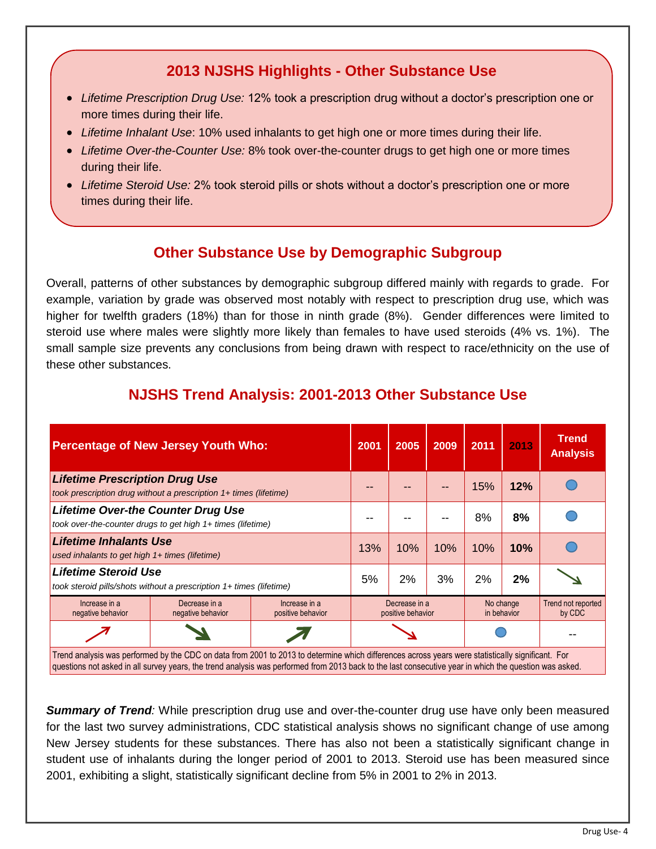### **2013 NJSHS Highlights - Other Substance Use**

- *Lifetime Prescription Drug Use:* 12% took a prescription drug without a doctor's prescription one or more times during their life.
- *Lifetime Inhalant Use*: 10% used inhalants to get high one or more times during their life.
- *Lifetime Over-the-Counter Use:* 8% took over-the-counter drugs to get high one or more times during their life.
- *Lifetime Steroid Use:* 2% took steroid pills or shots without a doctor's prescription one or more times during their life.

### **Other Substance Use by Demographic Subgroup**

Overall, patterns of other substances by demographic subgroup differed mainly with regards to grade. For example, variation by grade was observed most notably with respect to prescription drug use, which was higher for twelfth graders (18%) than for those in ninth grade (8%). Gender differences were limited to steroid use where males were slightly more likely than females to have used steroids (4% vs. 1%). The small sample size prevents any conclusions from being drawn with respect to race/ethnicity on the use of these other substances.

| <b>Percentage of New Jersey Youth Who:</b>                                                                                                        |                                    |                                    | 2001                               | 2005 | 2009 | 2011                     | 2013 | <b>Trend</b><br><b>Analysis</b> |
|---------------------------------------------------------------------------------------------------------------------------------------------------|------------------------------------|------------------------------------|------------------------------------|------|------|--------------------------|------|---------------------------------|
| <b>Lifetime Prescription Drug Use</b><br>took prescription drug without a prescription 1+ times (lifetime)                                        |                                    |                                    |                                    |      |      | 15%                      | 12%  |                                 |
| <b>Lifetime Over-the Counter Drug Use</b><br>took over-the-counter drugs to get high 1+ times (lifetime)                                          |                                    |                                    |                                    |      |      | 8%                       | 8%   |                                 |
| <b>Lifetime Inhalants Use</b><br>used inhalants to get high 1+ times (lifetime)                                                                   |                                    |                                    | 13%                                | 10%  | 10%  | 10%                      | 10%  |                                 |
| <b>Lifetime Steroid Use</b><br>took steroid pills/shots without a prescription 1+ times (lifetime)                                                |                                    |                                    | 5%                                 | 2%   | 3%   | 2%                       | 2%   |                                 |
| Increase in a<br>negative behavior                                                                                                                | Decrease in a<br>negative behavior | Increase in a<br>positive behavior | Decrease in a<br>positive behavior |      |      | No change<br>in behavior |      | Trend not reported<br>by CDC    |
|                                                                                                                                                   |                                    |                                    |                                    |      |      |                          |      |                                 |
| Trend analysis was performed by the CDC on data from 2001 to 2013 to determine which differences across years were statistically significant. For |                                    |                                    |                                    |      |      |                          |      |                                 |

# **NJSHS Trend Analysis: 2001-2013 Other Substance Use**

questions not asked in all survey years, the trend analysis was performed from 2013 back to the last consecutive year in which the question was asked.

*Summary of Trend:* While prescription drug use and over-the-counter drug use have only been measured for the last two survey administrations, CDC statistical analysis shows no significant change of use among New Jersey students for these substances. There has also not been a statistically significant change in student use of inhalants during the longer period of 2001 to 2013. Steroid use has been measured since 2001, exhibiting a slight, statistically significant decline from 5% in 2001 to 2% in 2013.